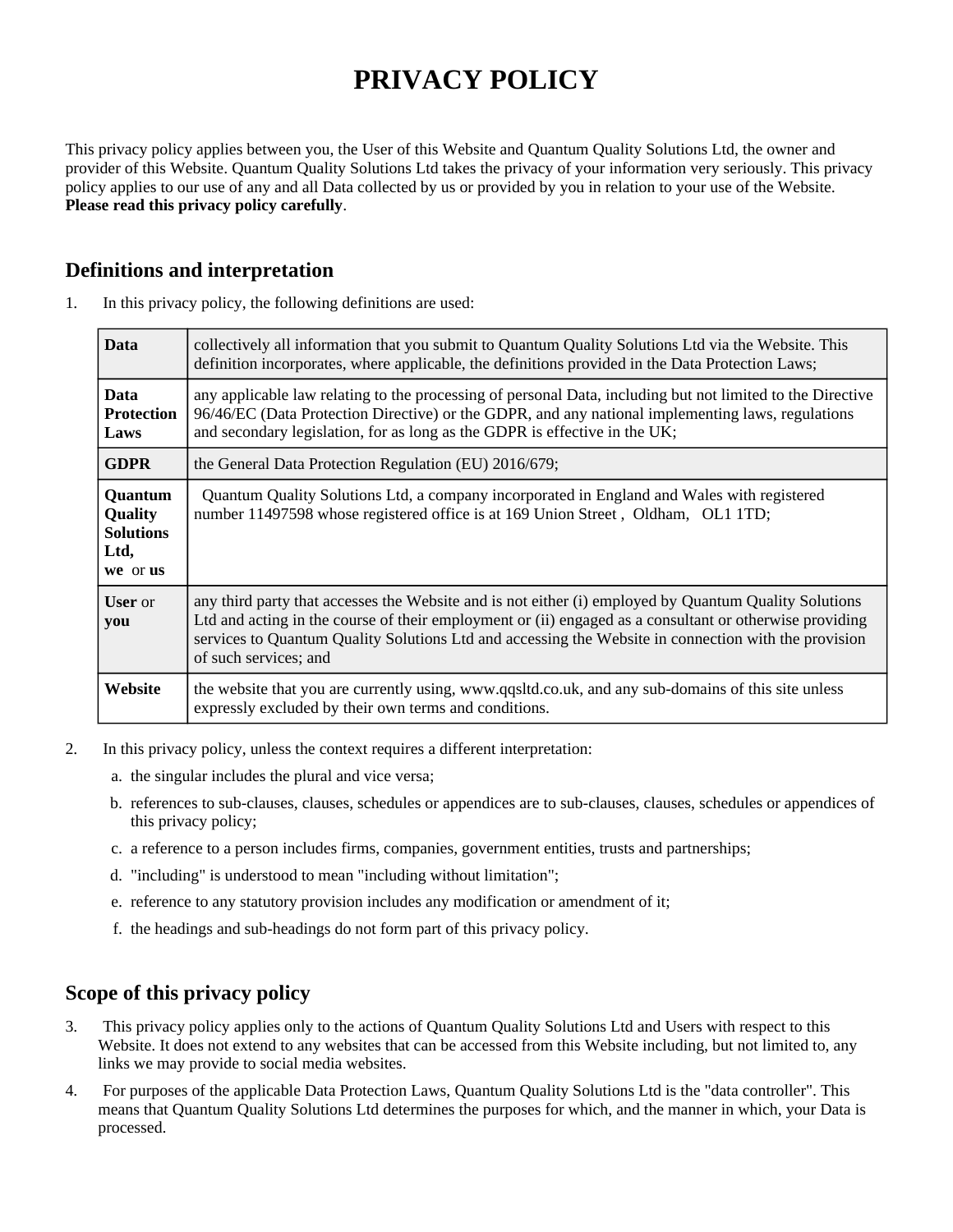# **PRIVACY POLICY**

This privacy policy applies between you, the User of this Website and Quantum Quality Solutions Ltd, the owner and provider of this Website. Quantum Quality Solutions Ltd takes the privacy of your information very seriously. This privacy policy applies to our use of any and all Data collected by us or provided by you in relation to your use of the Website. **Please read this privacy policy carefully**.

## **Definitions and interpretation**

| <b>Data</b>                                                       | collectively all information that you submit to Quantum Quality Solutions Ltd via the Website. This<br>definition incorporates, where applicable, the definitions provided in the Data Protection Laws;                                                                                                                                           |
|-------------------------------------------------------------------|---------------------------------------------------------------------------------------------------------------------------------------------------------------------------------------------------------------------------------------------------------------------------------------------------------------------------------------------------|
| <b>Data</b><br><b>Protection</b><br>Laws                          | any applicable law relating to the processing of personal Data, including but not limited to the Directive<br>96/46/EC (Data Protection Directive) or the GDPR, and any national implementing laws, regulations<br>and secondary legislation, for as long as the GDPR is effective in the UK;                                                     |
| <b>GDPR</b>                                                       | the General Data Protection Regulation (EU) 2016/679;                                                                                                                                                                                                                                                                                             |
| Quantum<br><b>Quality</b><br><b>Solutions</b><br>Ltd,<br>we or us | Quantum Quality Solutions Ltd, a company incorporated in England and Wales with registered<br>number 11497598 whose registered office is at 169 Union Street, Oldham, OL1 1TD;                                                                                                                                                                    |
| <b>User</b> or<br>you                                             | any third party that accesses the Website and is not either (i) employed by Quantum Quality Solutions<br>Ltd and acting in the course of their employment or (ii) engaged as a consultant or otherwise providing<br>services to Quantum Quality Solutions Ltd and accessing the Website in connection with the provision<br>of such services; and |
| Website                                                           | the website that you are currently using, www.qqsltd.co.uk, and any sub-domains of this site unless<br>expressly excluded by their own terms and conditions.                                                                                                                                                                                      |

1. In this privacy policy, the following definitions are used:

- 2. In this privacy policy, unless the context requires a different interpretation:
	- a. the singular includes the plural and vice versa;
	- b. references to sub-clauses, clauses, schedules or appendices are to sub-clauses, clauses, schedules or appendices of this privacy policy;
	- c. a reference to a person includes firms, companies, government entities, trusts and partnerships;
	- d. "including" is understood to mean "including without limitation";
	- e. reference to any statutory provision includes any modification or amendment of it;
	- f. the headings and sub-headings do not form part of this privacy policy.

#### **Scope of this privacy policy**

- 3. This privacy policy applies only to the actions of Quantum Quality Solutions Ltd and Users with respect to this Website. It does not extend to any websites that can be accessed from this Website including, but not limited to, any links we may provide to social media websites.
- 4. For purposes of the applicable Data Protection Laws, Quantum Quality Solutions Ltd is the "data controller". This means that Quantum Quality Solutions Ltd determines the purposes for which, and the manner in which, your Data is processed.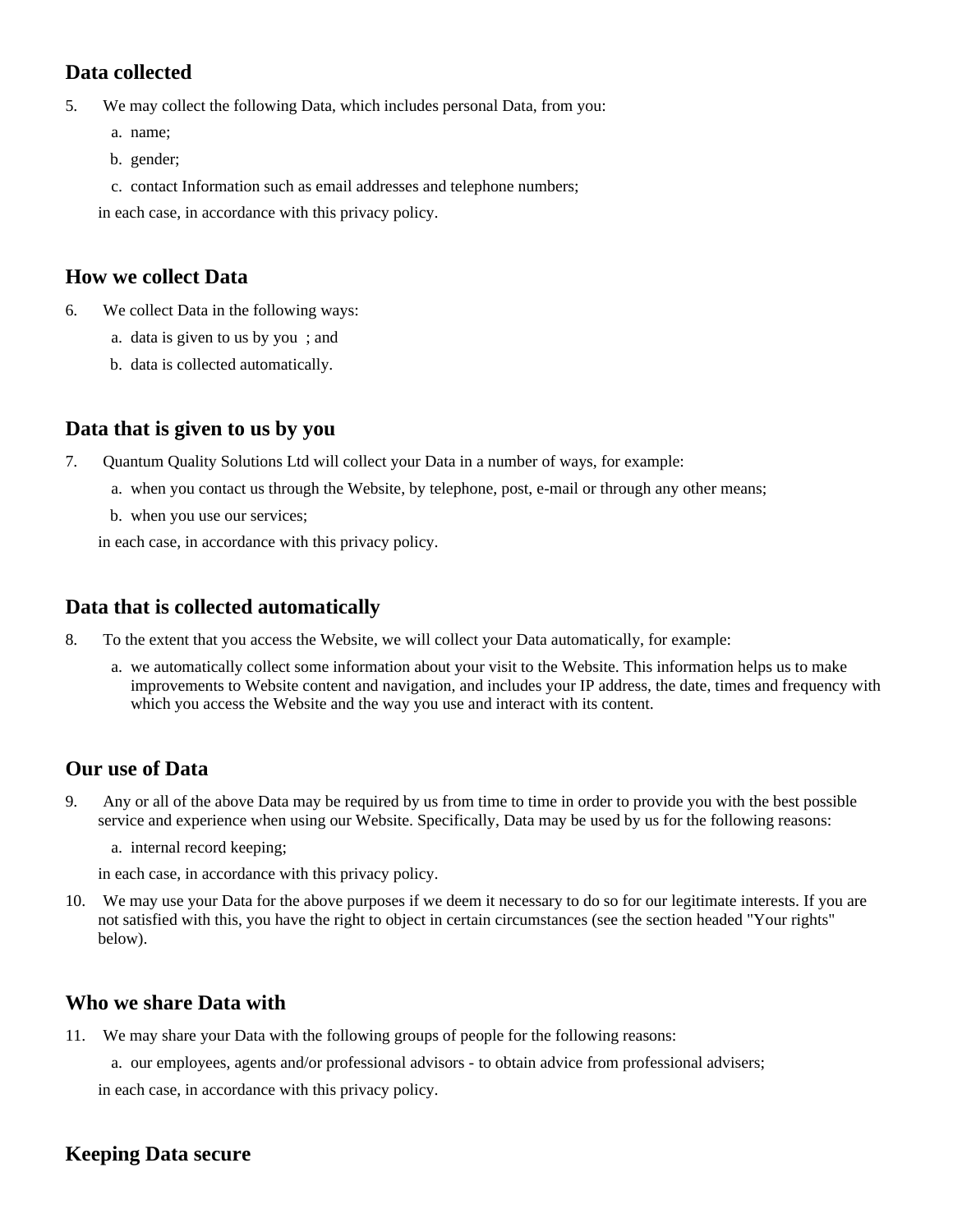# **Data collected**

5. We may collect the following Data, which includes personal Data, from you:

- a. name;
- b. gender;
- c. contact Information such as email addresses and telephone numbers;

in each case, in accordance with this privacy policy.

#### **How we collect Data**

- 6. We collect Data in the following ways:
	- a. data is given to us by you ; and
	- b. data is collected automatically.

### **Data that is given to us by you**

- 7. Quantum Quality Solutions Ltd will collect your Data in a number of ways, for example:
	- a. when you contact us through the Website, by telephone, post, e-mail or through any other means;
	- b. when you use our services;

in each case, in accordance with this privacy policy.

### **Data that is collected automatically**

- 8. To the extent that you access the Website, we will collect your Data automatically, for example:
	- a. we automatically collect some information about your visit to the Website. This information helps us to make improvements to Website content and navigation, and includes your IP address, the date, times and frequency with which you access the Website and the way you use and interact with its content.

# **Our use of Data**

- 9. Any or all of the above Data may be required by us from time to time in order to provide you with the best possible service and experience when using our Website. Specifically, Data may be used by us for the following reasons:
	- a. internal record keeping;
	- in each case, in accordance with this privacy policy.
- 10. We may use your Data for the above purposes if we deem it necessary to do so for our legitimate interests. If you are not satisfied with this, you have the right to object in certain circumstances (see the section headed "Your rights" below).

### **Who we share Data with**

- 11. We may share your Data with the following groups of people for the following reasons:
	- a. our employees, agents and/or professional advisors to obtain advice from professional advisers;

in each case, in accordance with this privacy policy.

### **Keeping Data secure**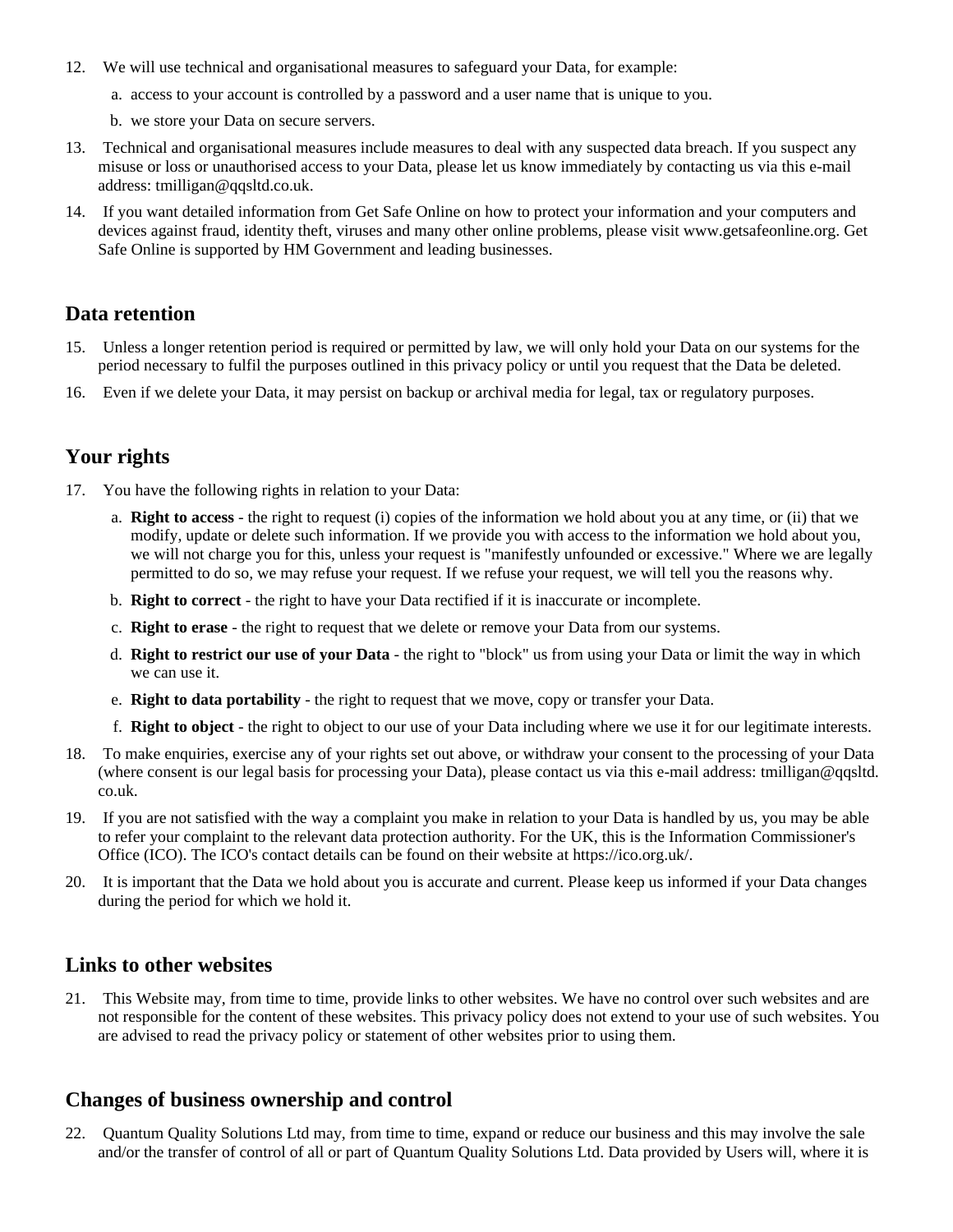- 12. We will use technical and organisational measures to safeguard your Data, for example:
	- a. access to your account is controlled by a password and a user name that is unique to you.
	- b. we store your Data on secure servers.
- 13. Technical and organisational measures include measures to deal with any suspected data breach. If you suspect any misuse or loss or unauthorised access to your Data, please let us know immediately by contacting us via this e-mail address: tmilligan@qqsltd.co.uk.
- 14. If you want detailed information from Get Safe Online on how to protect your information and your computers and devices against fraud, identity theft, viruses and many other online problems, please visit www.getsafeonline.org. Get Safe Online is supported by HM Government and leading businesses.

#### **Data retention**

- 15. Unless a longer retention period is required or permitted by law, we will only hold your Data on our systems for the period necessary to fulfil the purposes outlined in this privacy policy or until you request that the Data be deleted.
- 16. Even if we delete your Data, it may persist on backup or archival media for legal, tax or regulatory purposes.

#### **Your rights**

- 17. You have the following rights in relation to your Data:
	- a. **Right to access** the right to request (i) copies of the information we hold about you at any time, or (ii) that we modify, update or delete such information. If we provide you with access to the information we hold about you, we will not charge you for this, unless your request is "manifestly unfounded or excessive." Where we are legally permitted to do so, we may refuse your request. If we refuse your request, we will tell you the reasons why.
	- b. **Right to correct** the right to have your Data rectified if it is inaccurate or incomplete.
	- c. **Right to erase** the right to request that we delete or remove your Data from our systems.
	- d. **Right to restrict our use of your Data** the right to "block" us from using your Data or limit the way in which we can use it.
	- e. **Right to data portability** the right to request that we move, copy or transfer your Data.
	- f. **Right to object** the right to object to our use of your Data including where we use it for our legitimate interests.
- 18. To make enquiries, exercise any of your rights set out above, or withdraw your consent to the processing of your Data (where consent is our legal basis for processing your Data), please contact us via this e-mail address: tmilligan@qqsltd. co.uk.
- 19. If you are not satisfied with the way a complaint you make in relation to your Data is handled by us, you may be able to refer your complaint to the relevant data protection authority. For the UK, this is the Information Commissioner's Office (ICO). The ICO's contact details can be found on their website at https://ico.org.uk/.
- 20. It is important that the Data we hold about you is accurate and current. Please keep us informed if your Data changes during the period for which we hold it.

#### **Links to other websites**

21. This Website may, from time to time, provide links to other websites. We have no control over such websites and are not responsible for the content of these websites. This privacy policy does not extend to your use of such websites. You are advised to read the privacy policy or statement of other websites prior to using them.

#### **Changes of business ownership and control**

22. Quantum Quality Solutions Ltd may, from time to time, expand or reduce our business and this may involve the sale and/or the transfer of control of all or part of Quantum Quality Solutions Ltd. Data provided by Users will, where it is